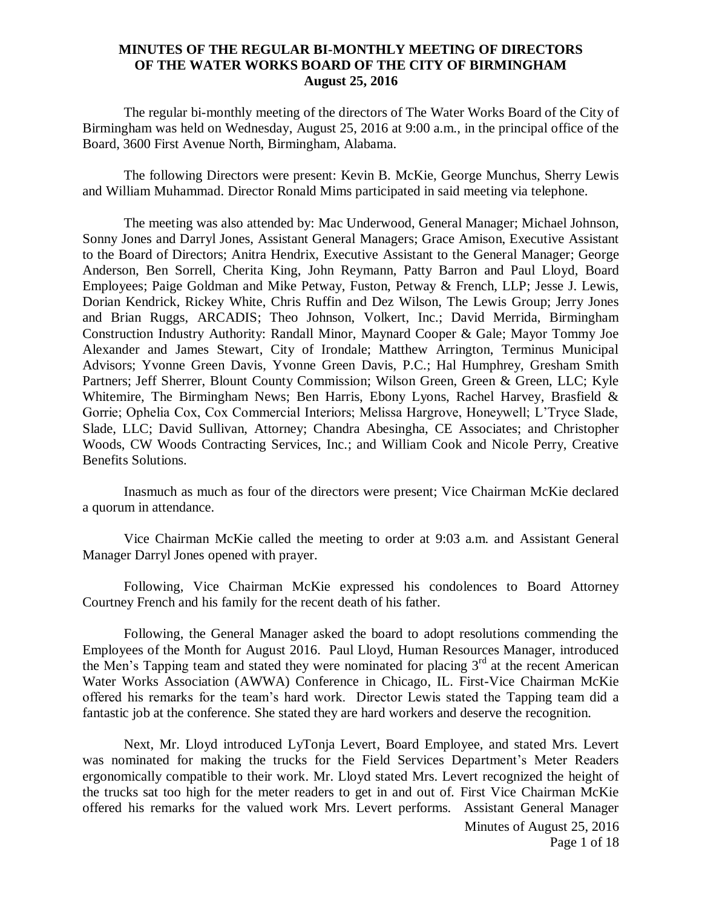## **MINUTES OF THE REGULAR BI-MONTHLY MEETING OF DIRECTORS OF THE WATER WORKS BOARD OF THE CITY OF BIRMINGHAM August 25, 2016**

The regular bi-monthly meeting of the directors of The Water Works Board of the City of Birmingham was held on Wednesday, August 25, 2016 at 9:00 a.m., in the principal office of the Board, 3600 First Avenue North, Birmingham, Alabama.

The following Directors were present: Kevin B. McKie, George Munchus, Sherry Lewis and William Muhammad. Director Ronald Mims participated in said meeting via telephone.

The meeting was also attended by: Mac Underwood, General Manager; Michael Johnson, Sonny Jones and Darryl Jones, Assistant General Managers; Grace Amison, Executive Assistant to the Board of Directors; Anitra Hendrix, Executive Assistant to the General Manager; George Anderson, Ben Sorrell, Cherita King, John Reymann, Patty Barron and Paul Lloyd, Board Employees; Paige Goldman and Mike Petway, Fuston, Petway & French, LLP; Jesse J. Lewis, Dorian Kendrick, Rickey White, Chris Ruffin and Dez Wilson, The Lewis Group; Jerry Jones and Brian Ruggs, ARCADIS; Theo Johnson, Volkert, Inc.; David Merrida, Birmingham Construction Industry Authority: Randall Minor, Maynard Cooper & Gale; Mayor Tommy Joe Alexander and James Stewart, City of Irondale; Matthew Arrington, Terminus Municipal Advisors; Yvonne Green Davis, Yvonne Green Davis, P.C.; Hal Humphrey, Gresham Smith Partners; Jeff Sherrer, Blount County Commission; Wilson Green, Green & Green, LLC; Kyle Whitemire, The Birmingham News; Ben Harris, Ebony Lyons, Rachel Harvey, Brasfield & Gorrie; Ophelia Cox, Cox Commercial Interiors; Melissa Hargrove, Honeywell; L'Tryce Slade, Slade, LLC; David Sullivan, Attorney; Chandra Abesingha, CE Associates; and Christopher Woods, CW Woods Contracting Services, Inc.; and William Cook and Nicole Perry, Creative Benefits Solutions.

Inasmuch as much as four of the directors were present; Vice Chairman McKie declared a quorum in attendance.

Vice Chairman McKie called the meeting to order at 9:03 a.m. and Assistant General Manager Darryl Jones opened with prayer.

Following, Vice Chairman McKie expressed his condolences to Board Attorney Courtney French and his family for the recent death of his father.

Following, the General Manager asked the board to adopt resolutions commending the Employees of the Month for August 2016. Paul Lloyd, Human Resources Manager, introduced the Men's Tapping team and stated they were nominated for placing 3<sup>rd</sup> at the recent American Water Works Association (AWWA) Conference in Chicago, IL. First-Vice Chairman McKie offered his remarks for the team's hard work. Director Lewis stated the Tapping team did a fantastic job at the conference. She stated they are hard workers and deserve the recognition.

Next, Mr. Lloyd introduced LyTonja Levert, Board Employee, and stated Mrs. Levert was nominated for making the trucks for the Field Services Department's Meter Readers ergonomically compatible to their work. Mr. Lloyd stated Mrs. Levert recognized the height of the trucks sat too high for the meter readers to get in and out of. First Vice Chairman McKie offered his remarks for the valued work Mrs. Levert performs. Assistant General Manager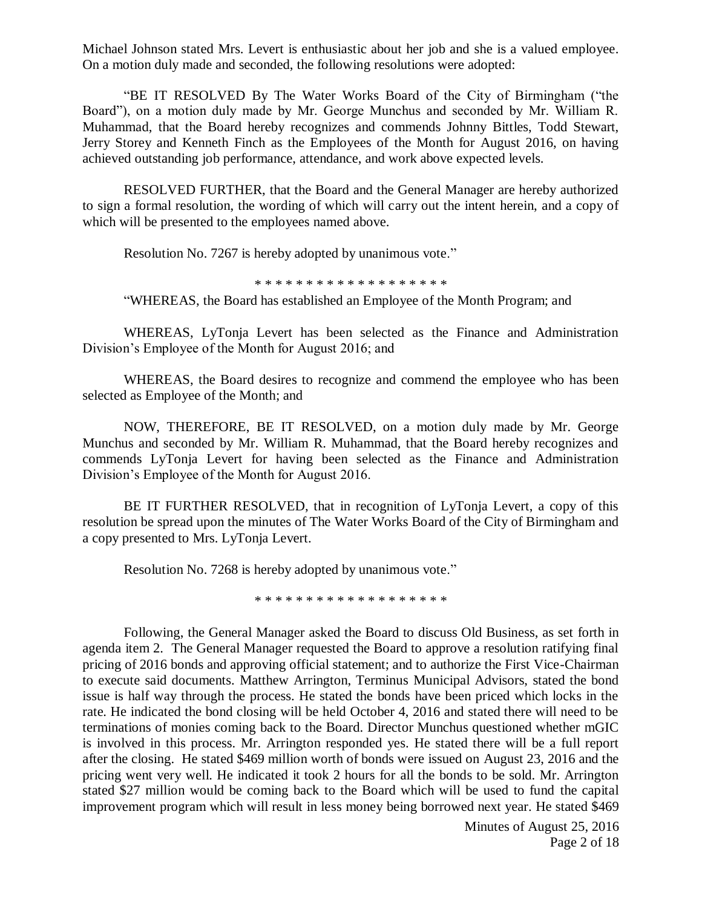Michael Johnson stated Mrs. Levert is enthusiastic about her job and she is a valued employee. On a motion duly made and seconded, the following resolutions were adopted:

"BE IT RESOLVED By The Water Works Board of the City of Birmingham ("the Board"), on a motion duly made by Mr. George Munchus and seconded by Mr. William R. Muhammad, that the Board hereby recognizes and commends Johnny Bittles, Todd Stewart, Jerry Storey and Kenneth Finch as the Employees of the Month for August 2016, on having achieved outstanding job performance, attendance, and work above expected levels.

RESOLVED FURTHER, that the Board and the General Manager are hereby authorized to sign a formal resolution, the wording of which will carry out the intent herein, and a copy of which will be presented to the employees named above.

Resolution No. 7267 is hereby adopted by unanimous vote."

\* \* \* \* \* \* \* \* \* \* \* \* \* \* \* \* \* \* \*

"WHEREAS, the Board has established an Employee of the Month Program; and

WHEREAS, LyTonja Levert has been selected as the Finance and Administration Division's Employee of the Month for August 2016; and

WHEREAS, the Board desires to recognize and commend the employee who has been selected as Employee of the Month; and

NOW, THEREFORE, BE IT RESOLVED, on a motion duly made by Mr. George Munchus and seconded by Mr. William R. Muhammad, that the Board hereby recognizes and commends LyTonja Levert for having been selected as the Finance and Administration Division's Employee of the Month for August 2016.

BE IT FURTHER RESOLVED, that in recognition of LyTonja Levert, a copy of this resolution be spread upon the minutes of The Water Works Board of the City of Birmingham and a copy presented to Mrs. LyTonja Levert.

Resolution No. 7268 is hereby adopted by unanimous vote."

\* \* \* \* \* \* \* \* \* \* \* \* \* \* \* \* \* \* \*

Following, the General Manager asked the Board to discuss Old Business, as set forth in agenda item 2. The General Manager requested the Board to approve a resolution ratifying final pricing of 2016 bonds and approving official statement; and to authorize the First Vice-Chairman to execute said documents. Matthew Arrington, Terminus Municipal Advisors, stated the bond issue is half way through the process. He stated the bonds have been priced which locks in the rate. He indicated the bond closing will be held October 4, 2016 and stated there will need to be terminations of monies coming back to the Board. Director Munchus questioned whether mGIC is involved in this process. Mr. Arrington responded yes. He stated there will be a full report after the closing. He stated \$469 million worth of bonds were issued on August 23, 2016 and the pricing went very well. He indicated it took 2 hours for all the bonds to be sold. Mr. Arrington stated \$27 million would be coming back to the Board which will be used to fund the capital improvement program which will result in less money being borrowed next year. He stated \$469

> Minutes of August 25, 2016 Page 2 of 18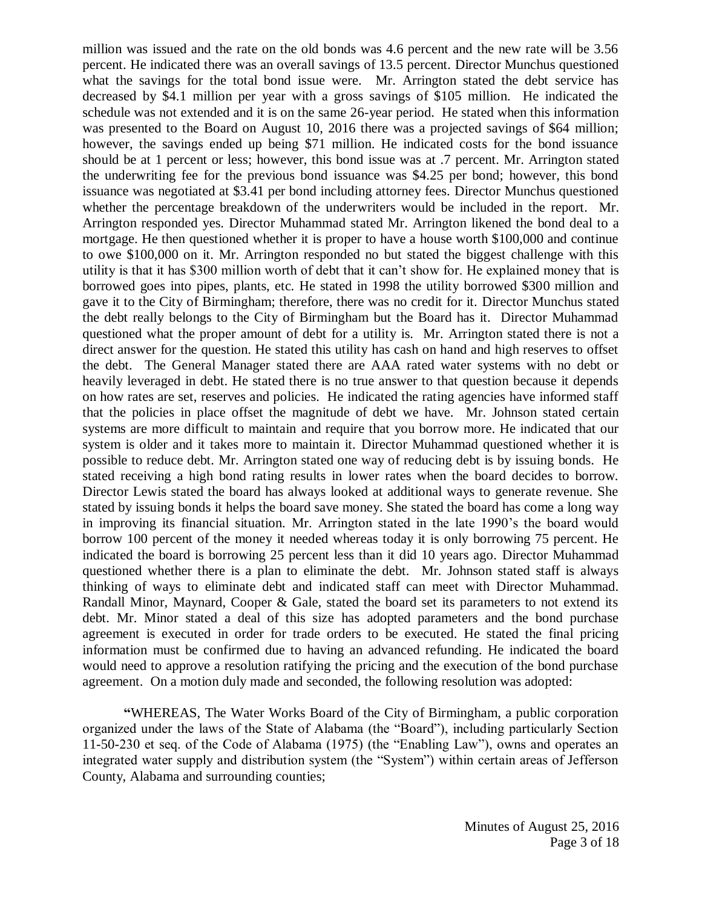million was issued and the rate on the old bonds was 4.6 percent and the new rate will be 3.56 percent. He indicated there was an overall savings of 13.5 percent. Director Munchus questioned what the savings for the total bond issue were. Mr. Arrington stated the debt service has decreased by \$4.1 million per year with a gross savings of \$105 million. He indicated the schedule was not extended and it is on the same 26-year period. He stated when this information was presented to the Board on August 10, 2016 there was a projected savings of \$64 million; however, the savings ended up being \$71 million. He indicated costs for the bond issuance should be at 1 percent or less; however, this bond issue was at .7 percent. Mr. Arrington stated the underwriting fee for the previous bond issuance was \$4.25 per bond; however, this bond issuance was negotiated at \$3.41 per bond including attorney fees. Director Munchus questioned whether the percentage breakdown of the underwriters would be included in the report. Mr. Arrington responded yes. Director Muhammad stated Mr. Arrington likened the bond deal to a mortgage. He then questioned whether it is proper to have a house worth \$100,000 and continue to owe \$100,000 on it. Mr. Arrington responded no but stated the biggest challenge with this utility is that it has \$300 million worth of debt that it can't show for. He explained money that is borrowed goes into pipes, plants, etc. He stated in 1998 the utility borrowed \$300 million and gave it to the City of Birmingham; therefore, there was no credit for it. Director Munchus stated the debt really belongs to the City of Birmingham but the Board has it. Director Muhammad questioned what the proper amount of debt for a utility is. Mr. Arrington stated there is not a direct answer for the question. He stated this utility has cash on hand and high reserves to offset the debt. The General Manager stated there are AAA rated water systems with no debt or heavily leveraged in debt. He stated there is no true answer to that question because it depends on how rates are set, reserves and policies. He indicated the rating agencies have informed staff that the policies in place offset the magnitude of debt we have. Mr. Johnson stated certain systems are more difficult to maintain and require that you borrow more. He indicated that our system is older and it takes more to maintain it. Director Muhammad questioned whether it is possible to reduce debt. Mr. Arrington stated one way of reducing debt is by issuing bonds. He stated receiving a high bond rating results in lower rates when the board decides to borrow. Director Lewis stated the board has always looked at additional ways to generate revenue. She stated by issuing bonds it helps the board save money. She stated the board has come a long way in improving its financial situation. Mr. Arrington stated in the late 1990's the board would borrow 100 percent of the money it needed whereas today it is only borrowing 75 percent. He indicated the board is borrowing 25 percent less than it did 10 years ago. Director Muhammad questioned whether there is a plan to eliminate the debt. Mr. Johnson stated staff is always thinking of ways to eliminate debt and indicated staff can meet with Director Muhammad. Randall Minor, Maynard, Cooper & Gale, stated the board set its parameters to not extend its debt. Mr. Minor stated a deal of this size has adopted parameters and the bond purchase agreement is executed in order for trade orders to be executed. He stated the final pricing information must be confirmed due to having an advanced refunding. He indicated the board would need to approve a resolution ratifying the pricing and the execution of the bond purchase agreement. On a motion duly made and seconded, the following resolution was adopted:

**"**WHEREAS, The Water Works Board of the City of Birmingham, a public corporation organized under the laws of the State of Alabama (the "Board"), including particularly Section 11-50-230 et seq. of the Code of Alabama (1975) (the "Enabling Law"), owns and operates an integrated water supply and distribution system (the "System") within certain areas of Jefferson County, Alabama and surrounding counties;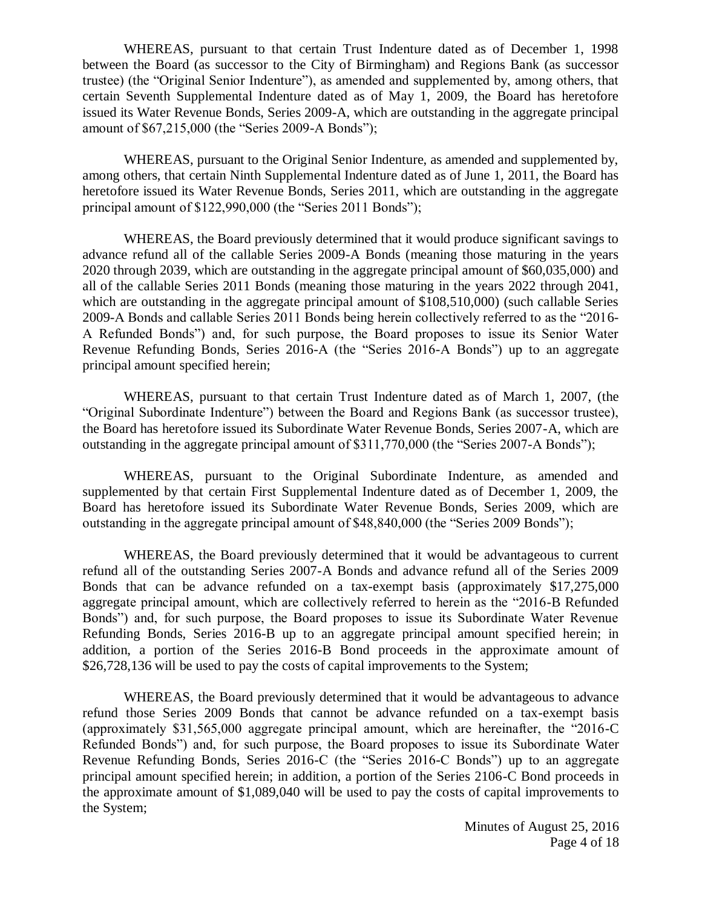WHEREAS, pursuant to that certain Trust Indenture dated as of December 1, 1998 between the Board (as successor to the City of Birmingham) and Regions Bank (as successor trustee) (the "Original Senior Indenture"), as amended and supplemented by, among others, that certain Seventh Supplemental Indenture dated as of May 1, 2009, the Board has heretofore issued its Water Revenue Bonds, Series 2009-A, which are outstanding in the aggregate principal amount of \$67,215,000 (the "Series 2009-A Bonds");

WHEREAS, pursuant to the Original Senior Indenture, as amended and supplemented by, among others, that certain Ninth Supplemental Indenture dated as of June 1, 2011, the Board has heretofore issued its Water Revenue Bonds, Series 2011, which are outstanding in the aggregate principal amount of \$122,990,000 (the "Series 2011 Bonds");

WHEREAS, the Board previously determined that it would produce significant savings to advance refund all of the callable Series 2009-A Bonds (meaning those maturing in the years 2020 through 2039, which are outstanding in the aggregate principal amount of \$60,035,000) and all of the callable Series 2011 Bonds (meaning those maturing in the years 2022 through 2041, which are outstanding in the aggregate principal amount of \$108,510,000) (such callable Series 2009-A Bonds and callable Series 2011 Bonds being herein collectively referred to as the "2016- A Refunded Bonds") and, for such purpose, the Board proposes to issue its Senior Water Revenue Refunding Bonds, Series 2016-A (the "Series 2016-A Bonds") up to an aggregate principal amount specified herein;

WHEREAS, pursuant to that certain Trust Indenture dated as of March 1, 2007, (the "Original Subordinate Indenture") between the Board and Regions Bank (as successor trustee), the Board has heretofore issued its Subordinate Water Revenue Bonds, Series 2007-A, which are outstanding in the aggregate principal amount of \$311,770,000 (the "Series 2007-A Bonds");

WHEREAS, pursuant to the Original Subordinate Indenture, as amended and supplemented by that certain First Supplemental Indenture dated as of December 1, 2009, the Board has heretofore issued its Subordinate Water Revenue Bonds, Series 2009, which are outstanding in the aggregate principal amount of \$48,840,000 (the "Series 2009 Bonds");

WHEREAS, the Board previously determined that it would be advantageous to current refund all of the outstanding Series 2007-A Bonds and advance refund all of the Series 2009 Bonds that can be advance refunded on a tax-exempt basis (approximately \$17,275,000 aggregate principal amount, which are collectively referred to herein as the "2016-B Refunded Bonds") and, for such purpose, the Board proposes to issue its Subordinate Water Revenue Refunding Bonds, Series 2016-B up to an aggregate principal amount specified herein; in addition, a portion of the Series 2016-B Bond proceeds in the approximate amount of \$26,728,136 will be used to pay the costs of capital improvements to the System;

WHEREAS, the Board previously determined that it would be advantageous to advance refund those Series 2009 Bonds that cannot be advance refunded on a tax-exempt basis (approximately \$31,565,000 aggregate principal amount, which are hereinafter, the "2016-C Refunded Bonds") and, for such purpose, the Board proposes to issue its Subordinate Water Revenue Refunding Bonds, Series 2016-C (the "Series 2016-C Bonds") up to an aggregate principal amount specified herein; in addition, a portion of the Series 2106-C Bond proceeds in the approximate amount of \$1,089,040 will be used to pay the costs of capital improvements to the System;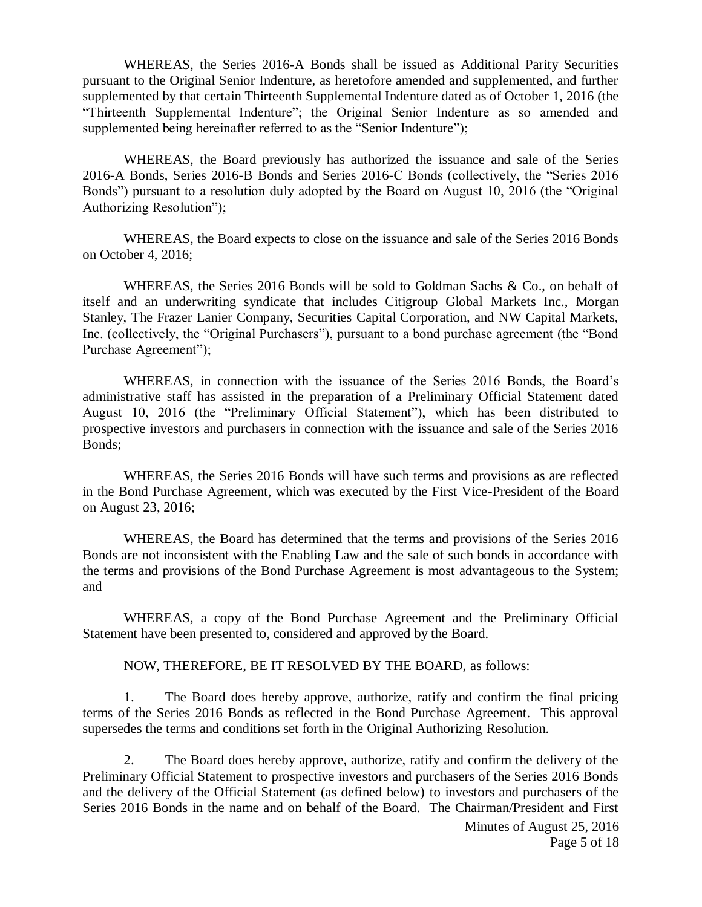WHEREAS, the Series 2016-A Bonds shall be issued as Additional Parity Securities pursuant to the Original Senior Indenture, as heretofore amended and supplemented, and further supplemented by that certain Thirteenth Supplemental Indenture dated as of October 1, 2016 (the "Thirteenth Supplemental Indenture"; the Original Senior Indenture as so amended and supplemented being hereinafter referred to as the "Senior Indenture");

WHEREAS, the Board previously has authorized the issuance and sale of the Series 2016-A Bonds, Series 2016-B Bonds and Series 2016-C Bonds (collectively, the "Series 2016 Bonds") pursuant to a resolution duly adopted by the Board on August 10, 2016 (the "Original Authorizing Resolution");

WHEREAS, the Board expects to close on the issuance and sale of the Series 2016 Bonds on October 4, 2016;

WHEREAS, the Series 2016 Bonds will be sold to Goldman Sachs & Co., on behalf of itself and an underwriting syndicate that includes Citigroup Global Markets Inc., Morgan Stanley, The Frazer Lanier Company, Securities Capital Corporation, and NW Capital Markets, Inc. (collectively, the "Original Purchasers"), pursuant to a bond purchase agreement (the "Bond Purchase Agreement");

WHEREAS, in connection with the issuance of the Series 2016 Bonds, the Board's administrative staff has assisted in the preparation of a Preliminary Official Statement dated August 10, 2016 (the "Preliminary Official Statement"), which has been distributed to prospective investors and purchasers in connection with the issuance and sale of the Series 2016 Bonds;

WHEREAS, the Series 2016 Bonds will have such terms and provisions as are reflected in the Bond Purchase Agreement, which was executed by the First Vice-President of the Board on August 23, 2016;

WHEREAS, the Board has determined that the terms and provisions of the Series 2016 Bonds are not inconsistent with the Enabling Law and the sale of such bonds in accordance with the terms and provisions of the Bond Purchase Agreement is most advantageous to the System; and

WHEREAS, a copy of the Bond Purchase Agreement and the Preliminary Official Statement have been presented to, considered and approved by the Board.

NOW, THEREFORE, BE IT RESOLVED BY THE BOARD, as follows:

1. The Board does hereby approve, authorize, ratify and confirm the final pricing terms of the Series 2016 Bonds as reflected in the Bond Purchase Agreement. This approval supersedes the terms and conditions set forth in the Original Authorizing Resolution.

2. The Board does hereby approve, authorize, ratify and confirm the delivery of the Preliminary Official Statement to prospective investors and purchasers of the Series 2016 Bonds and the delivery of the Official Statement (as defined below) to investors and purchasers of the Series 2016 Bonds in the name and on behalf of the Board. The Chairman/President and First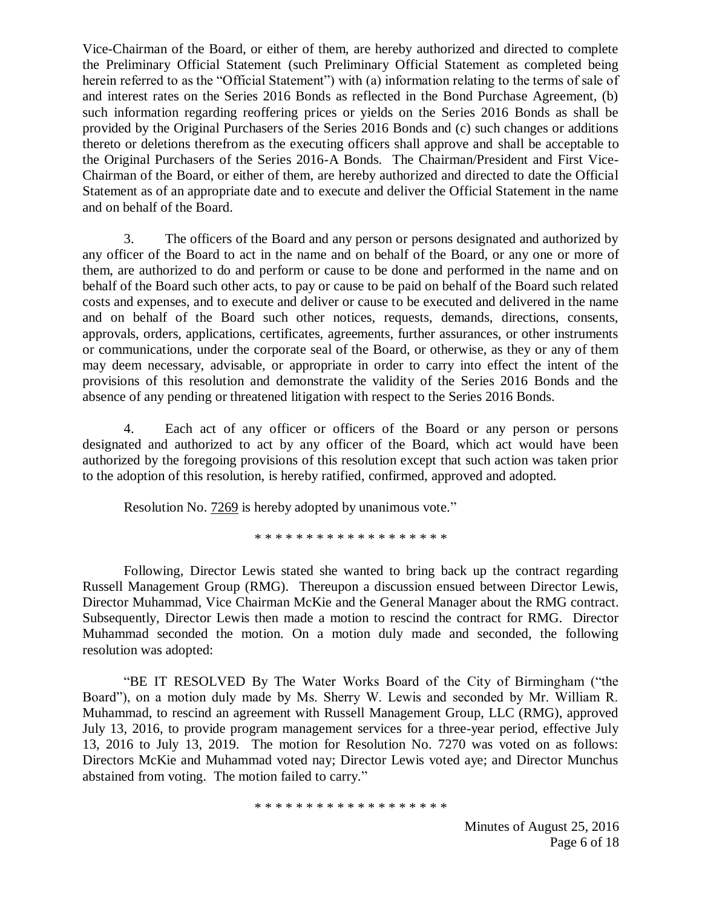Vice-Chairman of the Board, or either of them, are hereby authorized and directed to complete the Preliminary Official Statement (such Preliminary Official Statement as completed being herein referred to as the "Official Statement") with (a) information relating to the terms of sale of and interest rates on the Series 2016 Bonds as reflected in the Bond Purchase Agreement, (b) such information regarding reoffering prices or yields on the Series 2016 Bonds as shall be provided by the Original Purchasers of the Series 2016 Bonds and (c) such changes or additions thereto or deletions therefrom as the executing officers shall approve and shall be acceptable to the Original Purchasers of the Series 2016-A Bonds. The Chairman/President and First Vice-Chairman of the Board, or either of them, are hereby authorized and directed to date the Official Statement as of an appropriate date and to execute and deliver the Official Statement in the name and on behalf of the Board.

3. The officers of the Board and any person or persons designated and authorized by any officer of the Board to act in the name and on behalf of the Board, or any one or more of them, are authorized to do and perform or cause to be done and performed in the name and on behalf of the Board such other acts, to pay or cause to be paid on behalf of the Board such related costs and expenses, and to execute and deliver or cause to be executed and delivered in the name and on behalf of the Board such other notices, requests, demands, directions, consents, approvals, orders, applications, certificates, agreements, further assurances, or other instruments or communications, under the corporate seal of the Board, or otherwise, as they or any of them may deem necessary, advisable, or appropriate in order to carry into effect the intent of the provisions of this resolution and demonstrate the validity of the Series 2016 Bonds and the absence of any pending or threatened litigation with respect to the Series 2016 Bonds.

4. Each act of any officer or officers of the Board or any person or persons designated and authorized to act by any officer of the Board, which act would have been authorized by the foregoing provisions of this resolution except that such action was taken prior to the adoption of this resolution, is hereby ratified, confirmed, approved and adopted.

Resolution No. 7269 is hereby adopted by unanimous vote."

\* \* \* \* \* \* \* \* \* \* \* \* \* \* \* \* \* \* \*

Following, Director Lewis stated she wanted to bring back up the contract regarding Russell Management Group (RMG). Thereupon a discussion ensued between Director Lewis, Director Muhammad, Vice Chairman McKie and the General Manager about the RMG contract. Subsequently, Director Lewis then made a motion to rescind the contract for RMG. Director Muhammad seconded the motion. On a motion duly made and seconded, the following resolution was adopted:

"BE IT RESOLVED By The Water Works Board of the City of Birmingham ("the Board"), on a motion duly made by Ms. Sherry W. Lewis and seconded by Mr. William R. Muhammad, to rescind an agreement with Russell Management Group, LLC (RMG), approved July 13, 2016, to provide program management services for a three-year period, effective July 13, 2016 to July 13, 2019. The motion for Resolution No. 7270 was voted on as follows: Directors McKie and Muhammad voted nay; Director Lewis voted aye; and Director Munchus abstained from voting. The motion failed to carry."

\* \* \* \* \* \* \* \* \* \* \* \* \* \* \* \* \* \*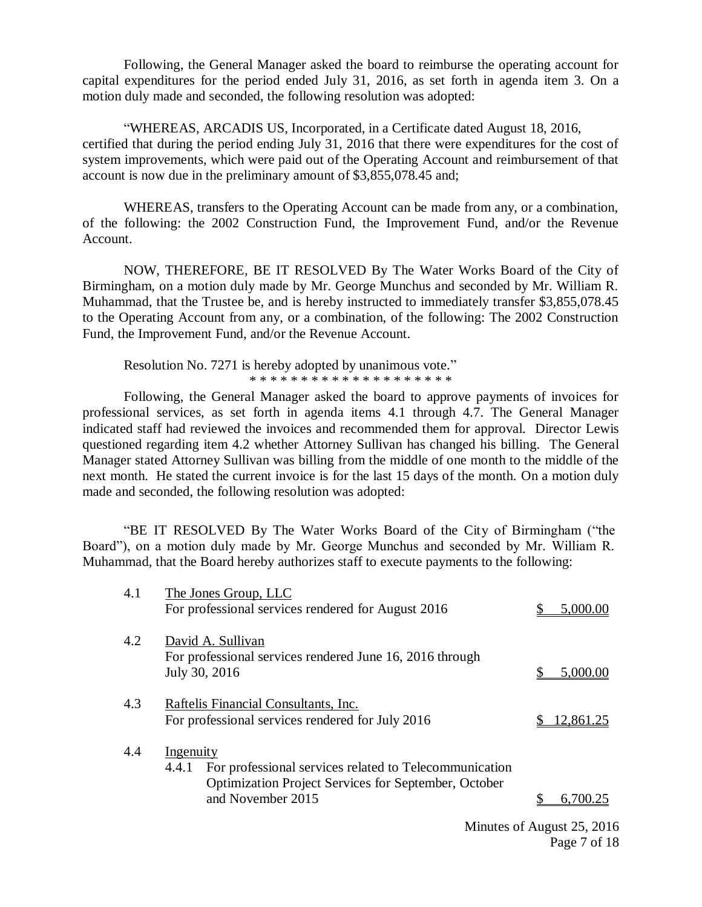Following, the General Manager asked the board to reimburse the operating account for capital expenditures for the period ended July 31, 2016, as set forth in agenda item 3. On a motion duly made and seconded, the following resolution was adopted:

"WHEREAS, ARCADIS US, Incorporated, in a Certificate dated August 18, 2016, certified that during the period ending July 31, 2016 that there were expenditures for the cost of system improvements, which were paid out of the Operating Account and reimbursement of that account is now due in the preliminary amount of \$3,855,078.45 and;

WHEREAS, transfers to the Operating Account can be made from any, or a combination, of the following: the 2002 Construction Fund, the Improvement Fund, and/or the Revenue Account.

NOW, THEREFORE, BE IT RESOLVED By The Water Works Board of the City of Birmingham, on a motion duly made by Mr. George Munchus and seconded by Mr. William R. Muhammad, that the Trustee be, and is hereby instructed to immediately transfer \$3,855,078.45 to the Operating Account from any, or a combination, of the following: The 2002 Construction Fund, the Improvement Fund, and/or the Revenue Account.

Resolution No. 7271 is hereby adopted by unanimous vote." \* \* \* \* \* \* \* \* \* \* \* \* \* \* \* \* \* \* \* \*

Following, the General Manager asked the board to approve payments of invoices for professional services, as set forth in agenda items 4.1 through 4.7. The General Manager indicated staff had reviewed the invoices and recommended them for approval. Director Lewis questioned regarding item 4.2 whether Attorney Sullivan has changed his billing. The General Manager stated Attorney Sullivan was billing from the middle of one month to the middle of the next month. He stated the current invoice is for the last 15 days of the month. On a motion duly made and seconded, the following resolution was adopted:

"BE IT RESOLVED By The Water Works Board of the City of Birmingham ("the Board"), on a motion duly made by Mr. George Munchus and seconded by Mr. William R. Muhammad, that the Board hereby authorizes staff to execute payments to the following:

| 4.1 | The Jones Group, LLC<br>For professional services rendered for August 2016                                                                                              | 5,000.00                                                                                                                                                                                                                                                                                                                           |
|-----|-------------------------------------------------------------------------------------------------------------------------------------------------------------------------|------------------------------------------------------------------------------------------------------------------------------------------------------------------------------------------------------------------------------------------------------------------------------------------------------------------------------------|
| 4.2 | David A. Sullivan<br>For professional services rendered June 16, 2016 through<br>July 30, 2016                                                                          | 5,000.00                                                                                                                                                                                                                                                                                                                           |
| 4.3 | Raftelis Financial Consultants, Inc.<br>For professional services rendered for July 2016                                                                                | 12,861.25                                                                                                                                                                                                                                                                                                                          |
| 4.4 | <b>Ingenuity</b><br>For professional services related to Telecommunication<br>4.4.1<br><b>Optimization Project Services for September, October</b><br>and November 2015 | 6.700.25                                                                                                                                                                                                                                                                                                                           |
|     |                                                                                                                                                                         | $\mathbf{r}$ $\mathbf{r}$ $\mathbf{r}$ $\mathbf{r}$ $\mathbf{r}$ $\mathbf{r}$ $\mathbf{r}$ $\mathbf{r}$ $\mathbf{r}$ $\mathbf{r}$ $\mathbf{r}$ $\mathbf{r}$ $\mathbf{r}$ $\mathbf{r}$ $\mathbf{r}$ $\mathbf{r}$ $\mathbf{r}$ $\mathbf{r}$ $\mathbf{r}$ $\mathbf{r}$ $\mathbf{r}$ $\mathbf{r}$ $\mathbf{r}$ $\mathbf{r}$ $\mathbf{$ |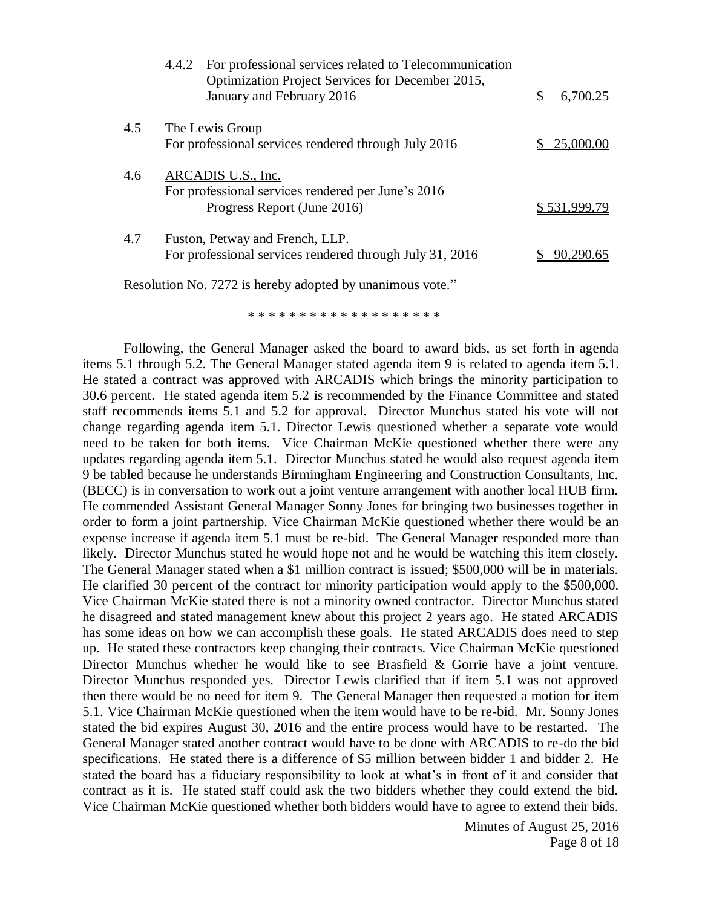|     | 4.4.2 For professional services related to Telecommunication<br>Optimization Project Services for December 2015,<br>January and February 2016 | 6,700.25     |
|-----|-----------------------------------------------------------------------------------------------------------------------------------------------|--------------|
| 4.5 | The Lewis Group<br>For professional services rendered through July 2016                                                                       | 25.000.00    |
| 4.6 | ARCADIS U.S., Inc.<br>For professional services rendered per June's 2016<br>Progress Report (June 2016)                                       | \$531,999.79 |
| 4.7 | Fuston, Petway and French, LLP.<br>For professional services rendered through July 31, 2016                                                   |              |

Resolution No. 7272 is hereby adopted by unanimous vote."

\* \* \* \* \* \* \* \* \* \* \* \* \* \* \* \* \* \*

Following, the General Manager asked the board to award bids, as set forth in agenda items 5.1 through 5.2. The General Manager stated agenda item 9 is related to agenda item 5.1. He stated a contract was approved with ARCADIS which brings the minority participation to 30.6 percent. He stated agenda item 5.2 is recommended by the Finance Committee and stated staff recommends items 5.1 and 5.2 for approval. Director Munchus stated his vote will not change regarding agenda item 5.1. Director Lewis questioned whether a separate vote would need to be taken for both items. Vice Chairman McKie questioned whether there were any updates regarding agenda item 5.1. Director Munchus stated he would also request agenda item 9 be tabled because he understands Birmingham Engineering and Construction Consultants, Inc. (BECC) is in conversation to work out a joint venture arrangement with another local HUB firm. He commended Assistant General Manager Sonny Jones for bringing two businesses together in order to form a joint partnership. Vice Chairman McKie questioned whether there would be an expense increase if agenda item 5.1 must be re-bid. The General Manager responded more than likely. Director Munchus stated he would hope not and he would be watching this item closely. The General Manager stated when a \$1 million contract is issued; \$500,000 will be in materials. He clarified 30 percent of the contract for minority participation would apply to the \$500,000. Vice Chairman McKie stated there is not a minority owned contractor. Director Munchus stated he disagreed and stated management knew about this project 2 years ago. He stated ARCADIS has some ideas on how we can accomplish these goals. He stated ARCADIS does need to step up. He stated these contractors keep changing their contracts. Vice Chairman McKie questioned Director Munchus whether he would like to see Brasfield & Gorrie have a joint venture. Director Munchus responded yes. Director Lewis clarified that if item 5.1 was not approved then there would be no need for item 9. The General Manager then requested a motion for item 5.1. Vice Chairman McKie questioned when the item would have to be re-bid. Mr. Sonny Jones stated the bid expires August 30, 2016 and the entire process would have to be restarted. The General Manager stated another contract would have to be done with ARCADIS to re-do the bid specifications. He stated there is a difference of \$5 million between bidder 1 and bidder 2. He stated the board has a fiduciary responsibility to look at what's in front of it and consider that contract as it is. He stated staff could ask the two bidders whether they could extend the bid. Vice Chairman McKie questioned whether both bidders would have to agree to extend their bids.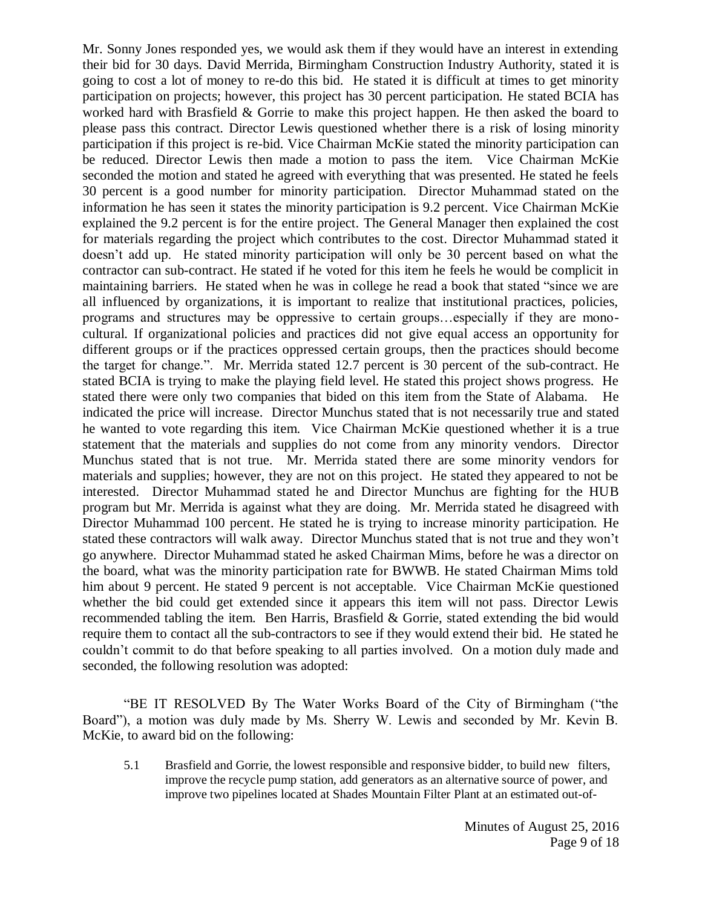Mr. Sonny Jones responded yes, we would ask them if they would have an interest in extending their bid for 30 days. David Merrida, Birmingham Construction Industry Authority, stated it is going to cost a lot of money to re-do this bid. He stated it is difficult at times to get minority participation on projects; however, this project has 30 percent participation. He stated BCIA has worked hard with Brasfield & Gorrie to make this project happen. He then asked the board to please pass this contract. Director Lewis questioned whether there is a risk of losing minority participation if this project is re-bid. Vice Chairman McKie stated the minority participation can be reduced. Director Lewis then made a motion to pass the item. Vice Chairman McKie seconded the motion and stated he agreed with everything that was presented. He stated he feels 30 percent is a good number for minority participation. Director Muhammad stated on the information he has seen it states the minority participation is 9.2 percent. Vice Chairman McKie explained the 9.2 percent is for the entire project. The General Manager then explained the cost for materials regarding the project which contributes to the cost. Director Muhammad stated it doesn't add up. He stated minority participation will only be 30 percent based on what the contractor can sub-contract. He stated if he voted for this item he feels he would be complicit in maintaining barriers. He stated when he was in college he read a book that stated "since we are all influenced by organizations, it is important to realize that institutional practices, policies, programs and structures may be oppressive to certain groups…especially if they are monocultural. If organizational policies and practices did not give equal access an opportunity for different groups or if the practices oppressed certain groups, then the practices should become the target for change.". Mr. Merrida stated 12.7 percent is 30 percent of the sub-contract. He stated BCIA is trying to make the playing field level. He stated this project shows progress. He stated there were only two companies that bided on this item from the State of Alabama. He indicated the price will increase. Director Munchus stated that is not necessarily true and stated he wanted to vote regarding this item. Vice Chairman McKie questioned whether it is a true statement that the materials and supplies do not come from any minority vendors. Director Munchus stated that is not true. Mr. Merrida stated there are some minority vendors for materials and supplies; however, they are not on this project. He stated they appeared to not be interested. Director Muhammad stated he and Director Munchus are fighting for the HUB program but Mr. Merrida is against what they are doing. Mr. Merrida stated he disagreed with Director Muhammad 100 percent. He stated he is trying to increase minority participation. He stated these contractors will walk away. Director Munchus stated that is not true and they won't go anywhere. Director Muhammad stated he asked Chairman Mims, before he was a director on the board, what was the minority participation rate for BWWB. He stated Chairman Mims told him about 9 percent. He stated 9 percent is not acceptable. Vice Chairman McKie questioned whether the bid could get extended since it appears this item will not pass. Director Lewis recommended tabling the item. Ben Harris, Brasfield & Gorrie, stated extending the bid would require them to contact all the sub-contractors to see if they would extend their bid. He stated he couldn't commit to do that before speaking to all parties involved. On a motion duly made and seconded, the following resolution was adopted:

"BE IT RESOLVED By The Water Works Board of the City of Birmingham ("the Board"), a motion was duly made by Ms. Sherry W. Lewis and seconded by Mr. Kevin B. McKie, to award bid on the following:

5.1 Brasfield and Gorrie, the lowest responsible and responsive bidder, to build new filters, improve the recycle pump station, add generators as an alternative source of power, and improve two pipelines located at Shades Mountain Filter Plant at an estimated out-of-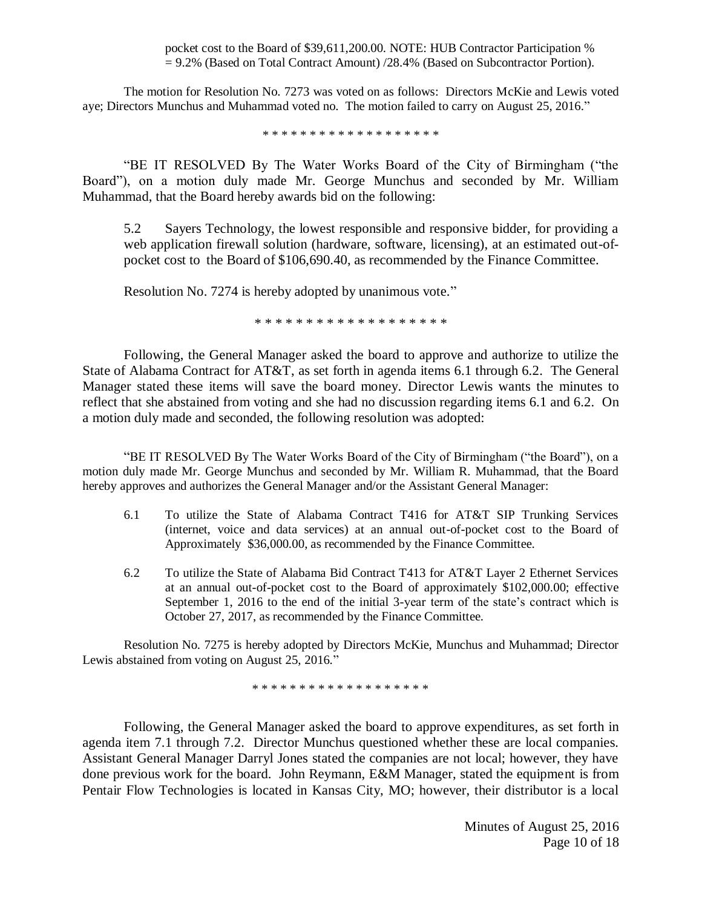pocket cost to the Board of \$39,611,200.00. NOTE: HUB Contractor Participation % = 9.2% (Based on Total Contract Amount) /28.4% (Based on Subcontractor Portion).

The motion for Resolution No. 7273 was voted on as follows: Directors McKie and Lewis voted aye; Directors Munchus and Muhammad voted no. The motion failed to carry on August 25, 2016."

\* \* \* \* \* \* \* \* \* \* \* \* \* \* \* \* \* \* \*

"BE IT RESOLVED By The Water Works Board of the City of Birmingham ("the Board"), on a motion duly made Mr. George Munchus and seconded by Mr. William Muhammad, that the Board hereby awards bid on the following:

5.2 Sayers Technology, the lowest responsible and responsive bidder, for providing a web application firewall solution (hardware, software, licensing), at an estimated out-ofpocket cost to the Board of \$106,690.40, as recommended by the Finance Committee.

Resolution No. 7274 is hereby adopted by unanimous vote."

\* \* \* \* \* \* \* \* \* \* \* \* \* \* \* \* \* \* \*

Following, the General Manager asked the board to approve and authorize to utilize the State of Alabama Contract for AT&T, as set forth in agenda items 6.1 through 6.2. The General Manager stated these items will save the board money. Director Lewis wants the minutes to reflect that she abstained from voting and she had no discussion regarding items 6.1 and 6.2. On a motion duly made and seconded, the following resolution was adopted:

"BE IT RESOLVED By The Water Works Board of the City of Birmingham ("the Board"), on a motion duly made Mr. George Munchus and seconded by Mr. William R. Muhammad, that the Board hereby approves and authorizes the General Manager and/or the Assistant General Manager:

- 6.1 To utilize the State of Alabama Contract T416 for AT&T SIP Trunking Services (internet, voice and data services) at an annual out-of-pocket cost to the Board of Approximately \$36,000.00, as recommended by the Finance Committee.
- 6.2 To utilize the State of Alabama Bid Contract T413 for AT&T Layer 2 Ethernet Services at an annual out-of-pocket cost to the Board of approximately \$102,000.00; effective September 1, 2016 to the end of the initial 3-year term of the state's contract which is October 27, 2017, as recommended by the Finance Committee.

Resolution No. 7275 is hereby adopted by Directors McKie, Munchus and Muhammad; Director Lewis abstained from voting on August 25, 2016."

\* \* \* \* \* \* \* \* \* \* \* \* \* \* \* \* \* \* \*

Following, the General Manager asked the board to approve expenditures, as set forth in agenda item 7.1 through 7.2. Director Munchus questioned whether these are local companies. Assistant General Manager Darryl Jones stated the companies are not local; however, they have done previous work for the board. John Reymann, E&M Manager, stated the equipment is from Pentair Flow Technologies is located in Kansas City, MO; however, their distributor is a local

> Minutes of August 25, 2016 Page 10 of 18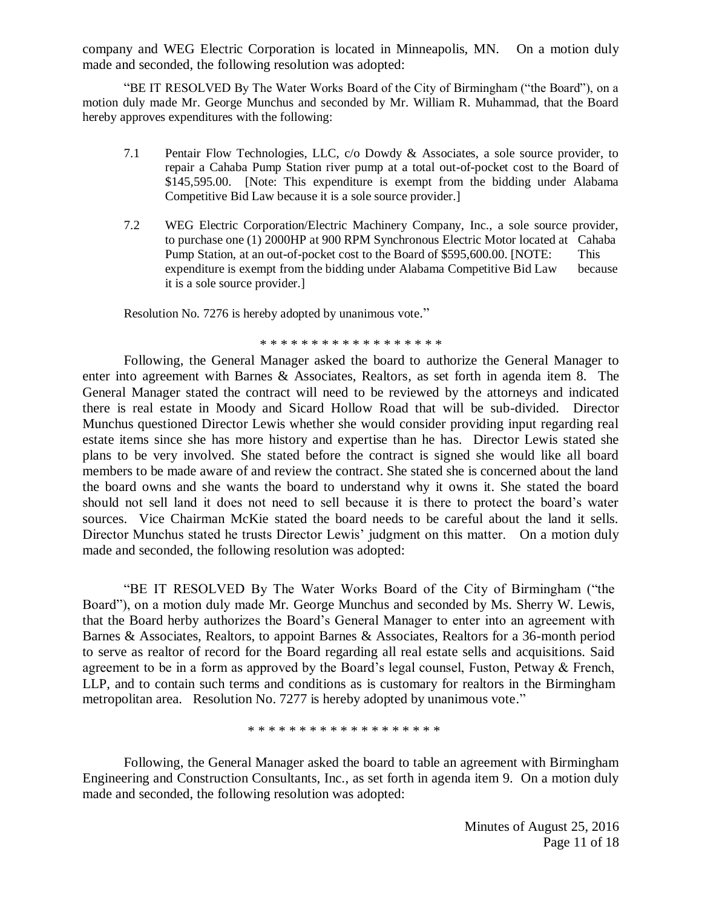company and WEG Electric Corporation is located in Minneapolis, MN. On a motion duly made and seconded, the following resolution was adopted:

"BE IT RESOLVED By The Water Works Board of the City of Birmingham ("the Board"), on a motion duly made Mr. George Munchus and seconded by Mr. William R. Muhammad, that the Board hereby approves expenditures with the following:

- 7.1 Pentair Flow Technologies, LLC, c/o Dowdy & Associates, a sole source provider, to repair a Cahaba Pump Station river pump at a total out-of-pocket cost to the Board of \$145,595.00. [Note: This expenditure is exempt from the bidding under Alabama Competitive Bid Law because it is a sole source provider.]
- 7.2 WEG Electric Corporation/Electric Machinery Company, Inc., a sole source provider, to purchase one (1) 2000HP at 900 RPM Synchronous Electric Motor located at Cahaba Pump Station, at an out-of-pocket cost to the Board of \$595,600.00. [NOTE: This expenditure is exempt from the bidding under Alabama Competitive Bid Law because it is a sole source provider.]

Resolution No. 7276 is hereby adopted by unanimous vote."

\* \* \* \* \* \* \* \* \* \* \* \* \* \* \* \* \*

Following, the General Manager asked the board to authorize the General Manager to enter into agreement with Barnes & Associates, Realtors, as set forth in agenda item 8. The General Manager stated the contract will need to be reviewed by the attorneys and indicated there is real estate in Moody and Sicard Hollow Road that will be sub-divided. Director Munchus questioned Director Lewis whether she would consider providing input regarding real estate items since she has more history and expertise than he has. Director Lewis stated she plans to be very involved. She stated before the contract is signed she would like all board members to be made aware of and review the contract. She stated she is concerned about the land the board owns and she wants the board to understand why it owns it. She stated the board should not sell land it does not need to sell because it is there to protect the board's water sources. Vice Chairman McKie stated the board needs to be careful about the land it sells. Director Munchus stated he trusts Director Lewis' judgment on this matter. On a motion duly made and seconded, the following resolution was adopted:

"BE IT RESOLVED By The Water Works Board of the City of Birmingham ("the Board"), on a motion duly made Mr. George Munchus and seconded by Ms. Sherry W. Lewis, that the Board herby authorizes the Board's General Manager to enter into an agreement with Barnes & Associates, Realtors, to appoint Barnes & Associates, Realtors for a 36-month period to serve as realtor of record for the Board regarding all real estate sells and acquisitions. Said agreement to be in a form as approved by the Board's legal counsel, Fuston, Petway & French, LLP, and to contain such terms and conditions as is customary for realtors in the Birmingham metropolitan area. Resolution No. 7277 is hereby adopted by unanimous vote."

\* \* \* \* \* \* \* \* \* \* \* \* \* \* \* \* \* \* \*

Following, the General Manager asked the board to table an agreement with Birmingham Engineering and Construction Consultants, Inc., as set forth in agenda item 9. On a motion duly made and seconded, the following resolution was adopted: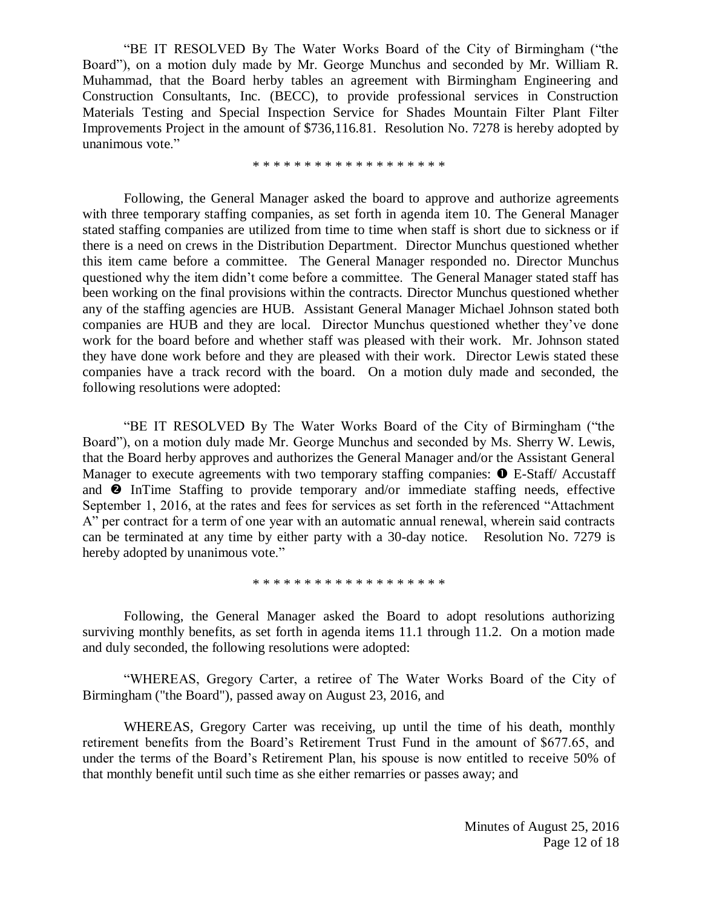"BE IT RESOLVED By The Water Works Board of the City of Birmingham ("the Board"), on a motion duly made by Mr. George Munchus and seconded by Mr. William R. Muhammad, that the Board herby tables an agreement with Birmingham Engineering and Construction Consultants, Inc. (BECC), to provide professional services in Construction Materials Testing and Special Inspection Service for Shades Mountain Filter Plant Filter Improvements Project in the amount of \$736,116.81. Resolution No. 7278 is hereby adopted by unanimous vote."

\* \* \* \* \* \* \* \* \* \* \* \* \* \* \* \* \* \* \*

Following, the General Manager asked the board to approve and authorize agreements with three temporary staffing companies, as set forth in agenda item 10. The General Manager stated staffing companies are utilized from time to time when staff is short due to sickness or if there is a need on crews in the Distribution Department. Director Munchus questioned whether this item came before a committee. The General Manager responded no. Director Munchus questioned why the item didn't come before a committee. The General Manager stated staff has been working on the final provisions within the contracts. Director Munchus questioned whether any of the staffing agencies are HUB. Assistant General Manager Michael Johnson stated both companies are HUB and they are local. Director Munchus questioned whether they've done work for the board before and whether staff was pleased with their work. Mr. Johnson stated they have done work before and they are pleased with their work. Director Lewis stated these companies have a track record with the board. On a motion duly made and seconded, the following resolutions were adopted:

"BE IT RESOLVED By The Water Works Board of the City of Birmingham ("the Board"), on a motion duly made Mr. George Munchus and seconded by Ms. Sherry W. Lewis, that the Board herby approves and authorizes the General Manager and/or the Assistant General Manager to execute agreements with two temporary staffing companies:  $\bullet$  E-Staff/ Accustaff and  $\bullet$  InTime Staffing to provide temporary and/or immediate staffing needs, effective September 1, 2016, at the rates and fees for services as set forth in the referenced "Attachment A" per contract for a term of one year with an automatic annual renewal, wherein said contracts can be terminated at any time by either party with a 30-day notice. Resolution No. 7279 is hereby adopted by unanimous vote."

\* \* \* \* \* \* \* \* \* \* \* \* \* \* \* \* \* \* \*

Following, the General Manager asked the Board to adopt resolutions authorizing surviving monthly benefits, as set forth in agenda items 11.1 through 11.2. On a motion made and duly seconded, the following resolutions were adopted:

"WHEREAS, Gregory Carter, a retiree of The Water Works Board of the City of Birmingham ("the Board"), passed away on August 23, 2016, and

WHEREAS, Gregory Carter was receiving, up until the time of his death, monthly retirement benefits from the Board's Retirement Trust Fund in the amount of \$677.65, and under the terms of the Board's Retirement Plan, his spouse is now entitled to receive 50% of that monthly benefit until such time as she either remarries or passes away; and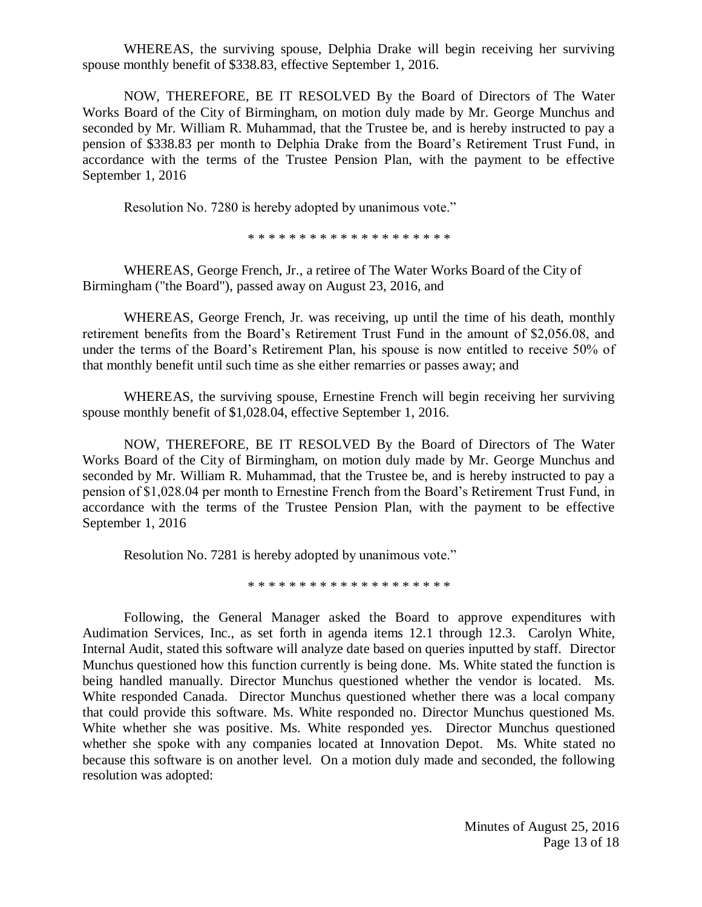WHEREAS, the surviving spouse, Delphia Drake will begin receiving her surviving spouse monthly benefit of \$338.83, effective September 1, 2016.

NOW, THEREFORE, BE IT RESOLVED By the Board of Directors of The Water Works Board of the City of Birmingham, on motion duly made by Mr. George Munchus and seconded by Mr. William R. Muhammad, that the Trustee be, and is hereby instructed to pay a pension of \$338.83 per month to Delphia Drake from the Board's Retirement Trust Fund, in accordance with the terms of the Trustee Pension Plan, with the payment to be effective September 1, 2016

Resolution No. 7280 is hereby adopted by unanimous vote."

\* \* \* \* \* \* \* \* \* \* \* \* \* \* \* \* \* \* \* \*

WHEREAS, George French, Jr., a retiree of The Water Works Board of the City of Birmingham ("the Board"), passed away on August 23, 2016, and

WHEREAS, George French, Jr. was receiving, up until the time of his death, monthly retirement benefits from the Board's Retirement Trust Fund in the amount of \$2,056.08, and under the terms of the Board's Retirement Plan, his spouse is now entitled to receive 50% of that monthly benefit until such time as she either remarries or passes away; and

WHEREAS, the surviving spouse, Ernestine French will begin receiving her surviving spouse monthly benefit of \$1,028.04, effective September 1, 2016.

NOW, THEREFORE, BE IT RESOLVED By the Board of Directors of The Water Works Board of the City of Birmingham, on motion duly made by Mr. George Munchus and seconded by Mr. William R. Muhammad, that the Trustee be, and is hereby instructed to pay a pension of \$1,028.04 per month to Ernestine French from the Board's Retirement Trust Fund, in accordance with the terms of the Trustee Pension Plan, with the payment to be effective September 1, 2016

Resolution No. 7281 is hereby adopted by unanimous vote."

\* \* \* \* \* \* \* \* \* \* \* \* \* \* \* \* \* \* \* \*

Following, the General Manager asked the Board to approve expenditures with Audimation Services, Inc., as set forth in agenda items 12.1 through 12.3. Carolyn White, Internal Audit, stated this software will analyze date based on queries inputted by staff. Director Munchus questioned how this function currently is being done. Ms. White stated the function is being handled manually. Director Munchus questioned whether the vendor is located. Ms. White responded Canada. Director Munchus questioned whether there was a local company that could provide this software. Ms. White responded no. Director Munchus questioned Ms. White whether she was positive. Ms. White responded yes. Director Munchus questioned whether she spoke with any companies located at Innovation Depot. Ms. White stated no because this software is on another level. On a motion duly made and seconded, the following resolution was adopted: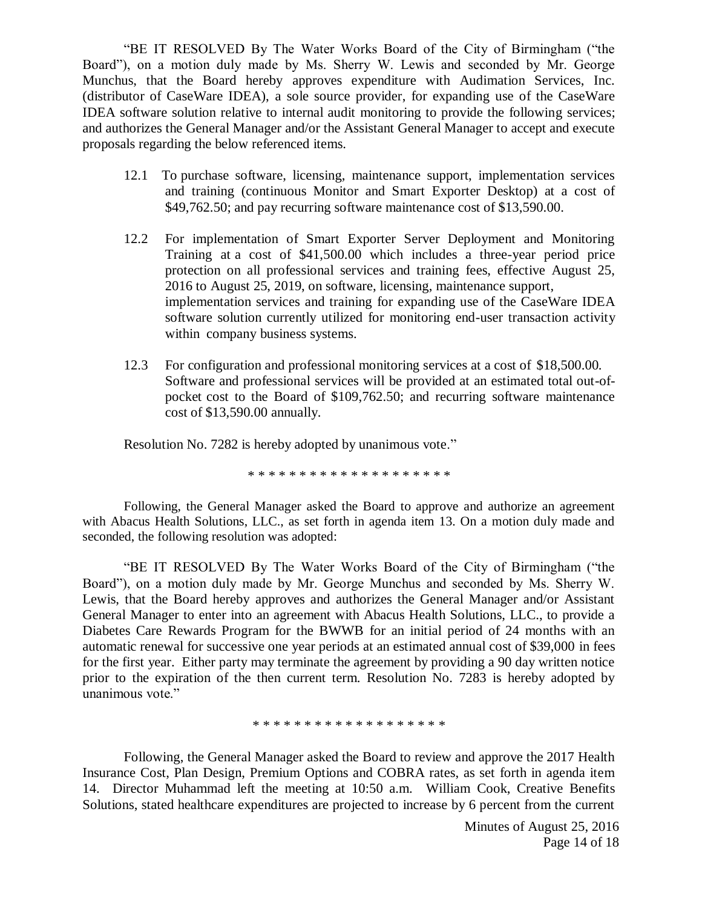"BE IT RESOLVED By The Water Works Board of the City of Birmingham ("the Board"), on a motion duly made by Ms. Sherry W. Lewis and seconded by Mr. George Munchus, that the Board hereby approves expenditure with Audimation Services, Inc. (distributor of CaseWare IDEA), a sole source provider, for expanding use of the CaseWare IDEA software solution relative to internal audit monitoring to provide the following services; and authorizes the General Manager and/or the Assistant General Manager to accept and execute proposals regarding the below referenced items.

- 12.1 To purchase software, licensing, maintenance support, implementation services and training (continuous Monitor and Smart Exporter Desktop) at a cost of \$49,762.50; and pay recurring software maintenance cost of \$13,590.00.
- 12.2 For implementation of Smart Exporter Server Deployment and Monitoring Training at a cost of \$41,500.00 which includes a three-year period price protection on all professional services and training fees, effective August 25, 2016 to August 25, 2019, on software, licensing, maintenance support, implementation services and training for expanding use of the CaseWare IDEA software solution currently utilized for monitoring end-user transaction activity within company business systems.
- 12.3 For configuration and professional monitoring services at a cost of \$18,500.00. Software and professional services will be provided at an estimated total out-ofpocket cost to the Board of \$109,762.50; and recurring software maintenance cost of \$13,590.00 annually.

Resolution No. 7282 is hereby adopted by unanimous vote."

\* \* \* \* \* \* \* \* \* \* \* \* \* \* \* \* \* \* \* \*

Following, the General Manager asked the Board to approve and authorize an agreement with Abacus Health Solutions, LLC., as set forth in agenda item 13. On a motion duly made and seconded, the following resolution was adopted:

"BE IT RESOLVED By The Water Works Board of the City of Birmingham ("the Board"), on a motion duly made by Mr. George Munchus and seconded by Ms. Sherry W. Lewis, that the Board hereby approves and authorizes the General Manager and/or Assistant General Manager to enter into an agreement with Abacus Health Solutions, LLC., to provide a Diabetes Care Rewards Program for the BWWB for an initial period of 24 months with an automatic renewal for successive one year periods at an estimated annual cost of \$39,000 in fees for the first year. Either party may terminate the agreement by providing a 90 day written notice prior to the expiration of the then current term. Resolution No. 7283 is hereby adopted by unanimous vote."

\* \* \* \* \* \* \* \* \* \* \* \* \* \* \* \* \* \* \*

Following, the General Manager asked the Board to review and approve the 2017 Health Insurance Cost, Plan Design, Premium Options and COBRA rates, as set forth in agenda item 14. Director Muhammad left the meeting at 10:50 a.m. William Cook, Creative Benefits Solutions, stated healthcare expenditures are projected to increase by 6 percent from the current

> Minutes of August 25, 2016 Page 14 of 18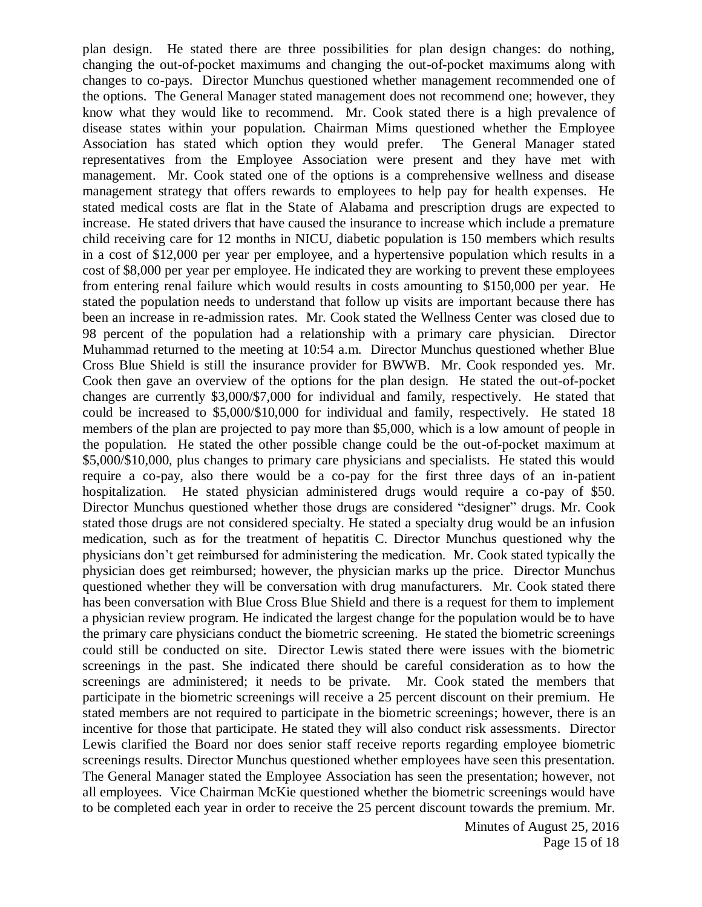plan design. He stated there are three possibilities for plan design changes: do nothing, changing the out-of-pocket maximums and changing the out-of-pocket maximums along with changes to co-pays. Director Munchus questioned whether management recommended one of the options. The General Manager stated management does not recommend one; however, they know what they would like to recommend. Mr. Cook stated there is a high prevalence of disease states within your population. Chairman Mims questioned whether the Employee Association has stated which option they would prefer. The General Manager stated representatives from the Employee Association were present and they have met with management. Mr. Cook stated one of the options is a comprehensive wellness and disease management strategy that offers rewards to employees to help pay for health expenses. He stated medical costs are flat in the State of Alabama and prescription drugs are expected to increase. He stated drivers that have caused the insurance to increase which include a premature child receiving care for 12 months in NICU, diabetic population is 150 members which results in a cost of \$12,000 per year per employee, and a hypertensive population which results in a cost of \$8,000 per year per employee. He indicated they are working to prevent these employees from entering renal failure which would results in costs amounting to \$150,000 per year. He stated the population needs to understand that follow up visits are important because there has been an increase in re-admission rates. Mr. Cook stated the Wellness Center was closed due to 98 percent of the population had a relationship with a primary care physician. Director Muhammad returned to the meeting at 10:54 a.m. Director Munchus questioned whether Blue Cross Blue Shield is still the insurance provider for BWWB. Mr. Cook responded yes. Mr. Cook then gave an overview of the options for the plan design. He stated the out-of-pocket changes are currently \$3,000/\$7,000 for individual and family, respectively. He stated that could be increased to \$5,000/\$10,000 for individual and family, respectively. He stated 18 members of the plan are projected to pay more than \$5,000, which is a low amount of people in the population. He stated the other possible change could be the out-of-pocket maximum at \$5,000/\$10,000, plus changes to primary care physicians and specialists. He stated this would require a co-pay, also there would be a co-pay for the first three days of an in-patient hospitalization. He stated physician administered drugs would require a co-pay of \$50. Director Munchus questioned whether those drugs are considered "designer" drugs. Mr. Cook stated those drugs are not considered specialty. He stated a specialty drug would be an infusion medication, such as for the treatment of hepatitis C. Director Munchus questioned why the physicians don't get reimbursed for administering the medication. Mr. Cook stated typically the physician does get reimbursed; however, the physician marks up the price. Director Munchus questioned whether they will be conversation with drug manufacturers. Mr. Cook stated there has been conversation with Blue Cross Blue Shield and there is a request for them to implement a physician review program. He indicated the largest change for the population would be to have the primary care physicians conduct the biometric screening. He stated the biometric screenings could still be conducted on site. Director Lewis stated there were issues with the biometric screenings in the past. She indicated there should be careful consideration as to how the screenings are administered; it needs to be private. Mr. Cook stated the members that participate in the biometric screenings will receive a 25 percent discount on their premium. He stated members are not required to participate in the biometric screenings; however, there is an incentive for those that participate. He stated they will also conduct risk assessments. Director Lewis clarified the Board nor does senior staff receive reports regarding employee biometric screenings results. Director Munchus questioned whether employees have seen this presentation. The General Manager stated the Employee Association has seen the presentation; however, not all employees. Vice Chairman McKie questioned whether the biometric screenings would have to be completed each year in order to receive the 25 percent discount towards the premium. Mr.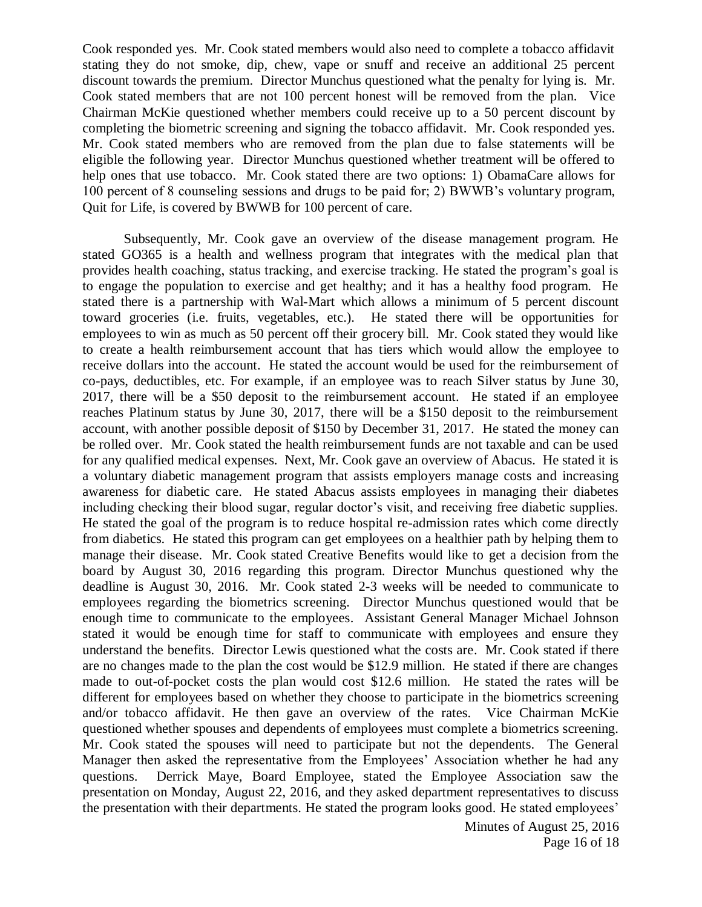Cook responded yes. Mr. Cook stated members would also need to complete a tobacco affidavit stating they do not smoke, dip, chew, vape or snuff and receive an additional 25 percent discount towards the premium. Director Munchus questioned what the penalty for lying is. Mr. Cook stated members that are not 100 percent honest will be removed from the plan. Vice Chairman McKie questioned whether members could receive up to a 50 percent discount by completing the biometric screening and signing the tobacco affidavit. Mr. Cook responded yes. Mr. Cook stated members who are removed from the plan due to false statements will be eligible the following year. Director Munchus questioned whether treatment will be offered to help ones that use tobacco. Mr. Cook stated there are two options: 1) ObamaCare allows for 100 percent of 8 counseling sessions and drugs to be paid for; 2) BWWB's voluntary program, Quit for Life, is covered by BWWB for 100 percent of care.

Subsequently, Mr. Cook gave an overview of the disease management program. He stated GO365 is a health and wellness program that integrates with the medical plan that provides health coaching, status tracking, and exercise tracking. He stated the program's goal is to engage the population to exercise and get healthy; and it has a healthy food program. He stated there is a partnership with Wal-Mart which allows a minimum of 5 percent discount toward groceries (i.e. fruits, vegetables, etc.). He stated there will be opportunities for employees to win as much as 50 percent off their grocery bill. Mr. Cook stated they would like to create a health reimbursement account that has tiers which would allow the employee to receive dollars into the account. He stated the account would be used for the reimbursement of co-pays, deductibles, etc. For example, if an employee was to reach Silver status by June 30, 2017, there will be a \$50 deposit to the reimbursement account. He stated if an employee reaches Platinum status by June 30, 2017, there will be a \$150 deposit to the reimbursement account, with another possible deposit of \$150 by December 31, 2017. He stated the money can be rolled over. Mr. Cook stated the health reimbursement funds are not taxable and can be used for any qualified medical expenses. Next, Mr. Cook gave an overview of Abacus. He stated it is a voluntary diabetic management program that assists employers manage costs and increasing awareness for diabetic care. He stated Abacus assists employees in managing their diabetes including checking their blood sugar, regular doctor's visit, and receiving free diabetic supplies. He stated the goal of the program is to reduce hospital re-admission rates which come directly from diabetics. He stated this program can get employees on a healthier path by helping them to manage their disease. Mr. Cook stated Creative Benefits would like to get a decision from the board by August 30, 2016 regarding this program. Director Munchus questioned why the deadline is August 30, 2016. Mr. Cook stated 2-3 weeks will be needed to communicate to employees regarding the biometrics screening. Director Munchus questioned would that be enough time to communicate to the employees. Assistant General Manager Michael Johnson stated it would be enough time for staff to communicate with employees and ensure they understand the benefits. Director Lewis questioned what the costs are. Mr. Cook stated if there are no changes made to the plan the cost would be \$12.9 million. He stated if there are changes made to out-of-pocket costs the plan would cost \$12.6 million. He stated the rates will be different for employees based on whether they choose to participate in the biometrics screening and/or tobacco affidavit. He then gave an overview of the rates. Vice Chairman McKie questioned whether spouses and dependents of employees must complete a biometrics screening. Mr. Cook stated the spouses will need to participate but not the dependents. The General Manager then asked the representative from the Employees' Association whether he had any questions. Derrick Maye, Board Employee, stated the Employee Association saw the presentation on Monday, August 22, 2016, and they asked department representatives to discuss the presentation with their departments. He stated the program looks good. He stated employees'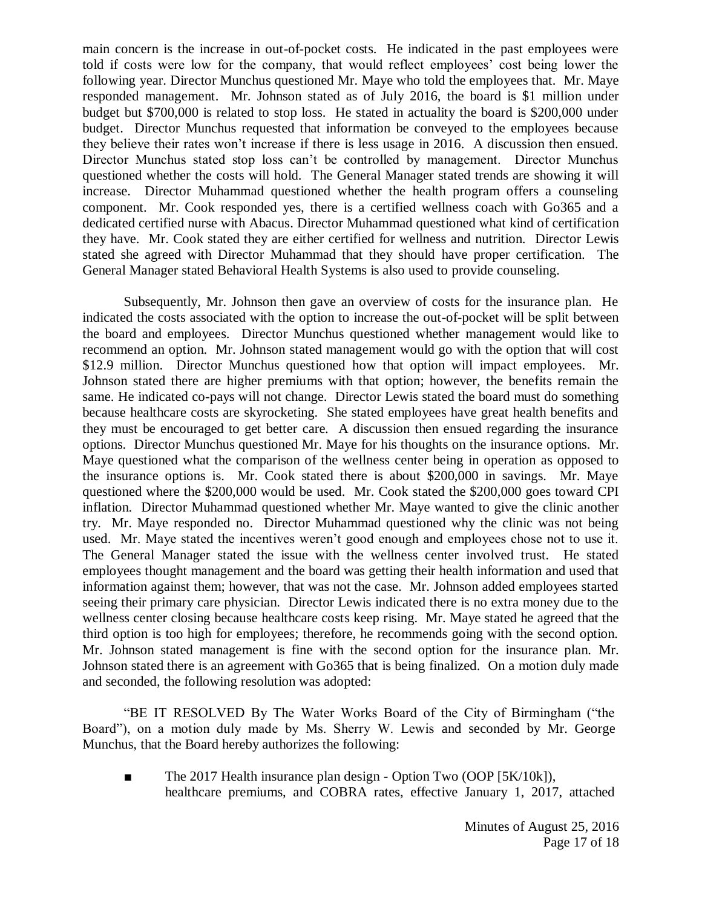main concern is the increase in out-of-pocket costs. He indicated in the past employees were told if costs were low for the company, that would reflect employees' cost being lower the following year. Director Munchus questioned Mr. Maye who told the employees that. Mr. Maye responded management. Mr. Johnson stated as of July 2016, the board is \$1 million under budget but \$700,000 is related to stop loss. He stated in actuality the board is \$200,000 under budget. Director Munchus requested that information be conveyed to the employees because they believe their rates won't increase if there is less usage in 2016. A discussion then ensued. Director Munchus stated stop loss can't be controlled by management. Director Munchus questioned whether the costs will hold. The General Manager stated trends are showing it will increase. Director Muhammad questioned whether the health program offers a counseling component. Mr. Cook responded yes, there is a certified wellness coach with Go365 and a dedicated certified nurse with Abacus. Director Muhammad questioned what kind of certification they have. Mr. Cook stated they are either certified for wellness and nutrition. Director Lewis stated she agreed with Director Muhammad that they should have proper certification. The General Manager stated Behavioral Health Systems is also used to provide counseling.

Subsequently, Mr. Johnson then gave an overview of costs for the insurance plan. He indicated the costs associated with the option to increase the out-of-pocket will be split between the board and employees. Director Munchus questioned whether management would like to recommend an option. Mr. Johnson stated management would go with the option that will cost \$12.9 million. Director Munchus questioned how that option will impact employees. Mr. Johnson stated there are higher premiums with that option; however, the benefits remain the same. He indicated co-pays will not change. Director Lewis stated the board must do something because healthcare costs are skyrocketing. She stated employees have great health benefits and they must be encouraged to get better care. A discussion then ensued regarding the insurance options. Director Munchus questioned Mr. Maye for his thoughts on the insurance options. Mr. Maye questioned what the comparison of the wellness center being in operation as opposed to the insurance options is. Mr. Cook stated there is about \$200,000 in savings. Mr. Maye questioned where the \$200,000 would be used. Mr. Cook stated the \$200,000 goes toward CPI inflation. Director Muhammad questioned whether Mr. Maye wanted to give the clinic another try. Mr. Maye responded no. Director Muhammad questioned why the clinic was not being used. Mr. Maye stated the incentives weren't good enough and employees chose not to use it. The General Manager stated the issue with the wellness center involved trust. He stated employees thought management and the board was getting their health information and used that information against them; however, that was not the case. Mr. Johnson added employees started seeing their primary care physician. Director Lewis indicated there is no extra money due to the wellness center closing because healthcare costs keep rising. Mr. Maye stated he agreed that the third option is too high for employees; therefore, he recommends going with the second option. Mr. Johnson stated management is fine with the second option for the insurance plan. Mr. Johnson stated there is an agreement with Go365 that is being finalized. On a motion duly made and seconded, the following resolution was adopted:

"BE IT RESOLVED By The Water Works Board of the City of Birmingham ("the Board"), on a motion duly made by Ms. Sherry W. Lewis and seconded by Mr. George Munchus, that the Board hereby authorizes the following:

■ The 2017 Health insurance plan design - Option Two (OOP [5K/10k]), healthcare premiums, and COBRA rates, effective January 1, 2017, attached